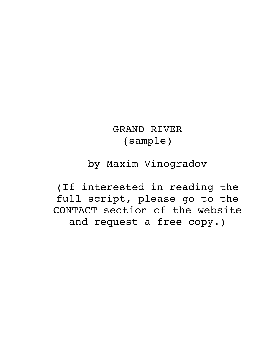# GRAND RIVER (sample)

# by Maxim Vinogradov

(If interested in reading the full script, please go to the CONTACT section of the website and request a free copy.)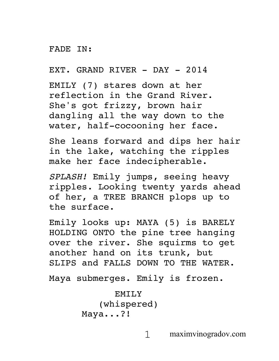#### FADE IN:

EXT. GRAND RIVER - DAY - 2014

EMILY (7) stares down at her reflection in the Grand River. She's got frizzy, brown hair dangling all the way down to the water, half-cocooning her face.

She leans forward and dips her hair in the lake, watching the ripples make her face indecipherable.

*SPLASH!* Emily jumps, seeing heavy ripples. Looking twenty yards ahead of her, a TREE BRANCH plops up to the surface.

Emily looks up: MAYA (5) is BARELY HOLDING ONTO the pine tree hanging over the river. She squirms to get another hand on its trunk, but SLIPS and FALLS DOWN TO THE WATER.

Maya submerges. Emily is frozen.

```
EMILY
   (whispered)
Maya...?!
```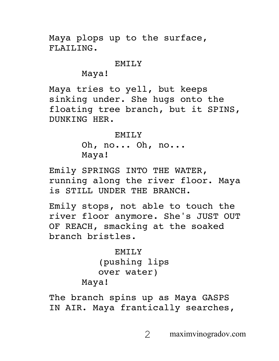Maya plops up to the surface, FLAILING.

#### EMILY

Maya!

Maya tries to yell, but keeps sinking under. She hugs onto the floating tree branch, but it SPINS, DUNKING HER.

#### EMILY<sub>N</sub>

Oh, no... Oh, no... Maya!

Emily SPRINGS INTO THE WATER, running along the river floor. Maya is STILL UNDER THE BRANCH.

Emily stops, not able to touch the river floor anymore. She's JUST OUT OF REACH, smacking at the soaked branch bristles.

```
EMILY
   (pushing lips 
   over water)
Maya!
```
The branch spins up as Maya GASPS IN AIR. Maya frantically searches,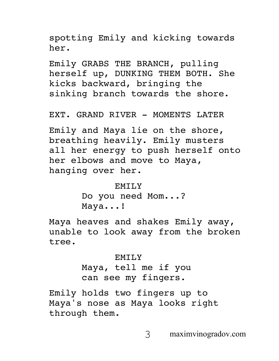spotting Emily and kicking towards her.

Emily GRABS THE BRANCH, pulling herself up, DUNKING THEM BOTH. She kicks backward, bringing the sinking branch towards the shore.

EXT. GRAND RIVER - MOMENTS LATER

Emily and Maya lie on the shore, breathing heavily. Emily musters all her energy to push herself onto her elbows and move to Maya, hanging over her.

> EMTI<sub>N</sub> Do you need Mom...? Maya...!

Maya heaves and shakes Emily away, unable to look away from the broken tree.

#### EMILY

Maya, tell me if you can see my fingers.

Emily holds two fingers up to Maya's nose as Maya looks right through them.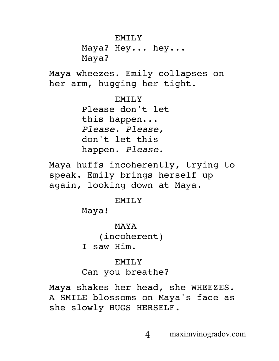### EMILY

Maya? Hey... hey... Maya?

Maya wheezes. Emily collapses on her arm, hugging her tight.

## EMILY

Please don't let this happen... *Please. Please,* don't let this happen. *Please.*

Maya huffs incoherently, trying to speak. Emily brings herself up again, looking down at Maya.

### EMILY

Maya!

MAYA

(incoherent)

I saw Him.

## EMILY

# Can you breathe?

Maya shakes her head, she WHEEZES. A SMILE blossoms on Maya's face as she slowly HUGS HERSELF.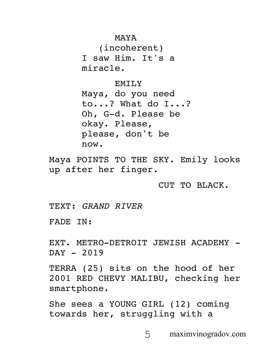MAYA

(incoherent) I saw Him. It's a miracle.

EMILY

Maya, do you need to...? What do I...? Oh, G-d. Please be okay. Please, please, don't be now.

Maya POINTS TO THE SKY. Emily looks up after her finger.

CUT TO BLACK.

TEXT: *GRAND RIVER*

FADE IN:

EXT. METRO-DETROIT JEWISH ACADEMY -DAY - 2019

TERRA (25) sits on the hood of her 2001 RED CHEVY MALIBU, checking her smartphone.

She sees a YOUNG GIRL (12) coming towards her, struggling with a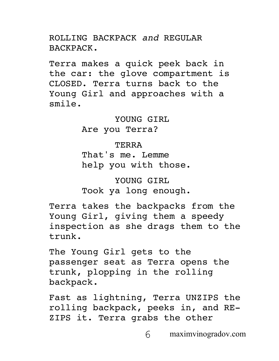ROLLING BACKPACK *and* REGULAR BACKPACK.

Terra makes a quick peek back in the car: the glove compartment is CLOSED. Terra turns back to the Young Girl and approaches with a smile.

> YOUNG GIRL Are you Terra?

> > TERRA

That's me. Lemme help you with those.

YOUNG GIRL Took ya long enough.

Terra takes the backpacks from the Young Girl, giving them a speedy inspection as she drags them to the trunk.

The Young Girl gets to the passenger seat as Terra opens the trunk, plopping in the rolling backpack.

Fast as lightning, Terra UNZIPS the rolling backpack, peeks in, and RE-ZIPS it. Terra grabs the other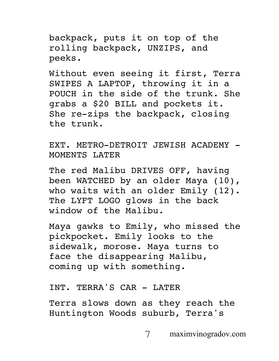backpack, puts it on top of the rolling backpack, UNZIPS, and peeks.

Without even seeing it first, Terra SWIPES A LAPTOP, throwing it in a POUCH in the side of the trunk. She grabs a \$20 BILL and pockets it. She re-zips the backpack, closing the trunk.

EXT. METRO-DETROIT JEWISH ACADEMY - MOMENTS LATER

The red Malibu DRIVES OFF, having been WATCHED by an older Maya (10), who waits with an older Emily (12). The LYFT LOGO glows in the back window of the Malibu.

Maya gawks to Emily, who missed the pickpocket. Emily looks to the sidewalk, morose. Maya turns to face the disappearing Malibu, coming up with something.

INT. TERRA'S CAR - LATER

Terra slows down as they reach the Huntington Woods suburb, Terra's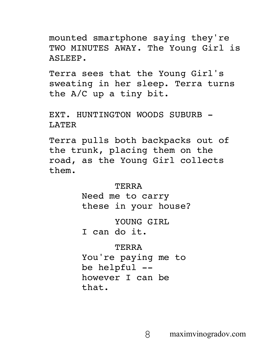mounted smartphone saying they're TWO MINUTES AWAY. The Young Girl is ASLEEP.

Terra sees that the Young Girl's sweating in her sleep. Terra turns the A/C up a tiny bit.

EXT. HUNTINGTON WOODS SUBURB -LATER

Terra pulls both backpacks out of the trunk, placing them on the road, as the Young Girl collects them.

#### TERRA

Need me to carry these in your house?

YOUNG GIRL

I can do it.

#### TERRA

You're paying me to be helpful - however I can be that.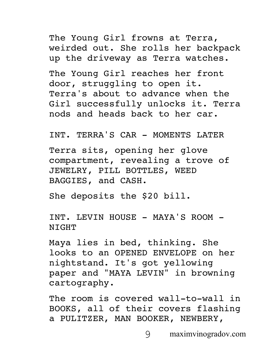The Young Girl frowns at Terra, weirded out. She rolls her backpack up the driveway as Terra watches.

The Young Girl reaches her front door, struggling to open it. Terra's about to advance when the Girl successfully unlocks it. Terra nods and heads back to her car.

INT. TERRA'S CAR - MOMENTS LATER

Terra sits, opening her glove compartment, revealing a trove of JEWELRY, PILL BOTTLES, WEED BAGGIES, and CASH.

She deposits the \$20 bill.

INT. LEVIN HOUSE - MAYA'S ROOM - **NIGHT** 

Maya lies in bed, thinking. She looks to an OPENED ENVELOPE on her nightstand. It's got yellowing paper and "MAYA LEVIN" in browning cartography.

The room is covered wall-to-wall in BOOKS, all of their covers flashing a PULITZER, MAN BOOKER, NEWBERY,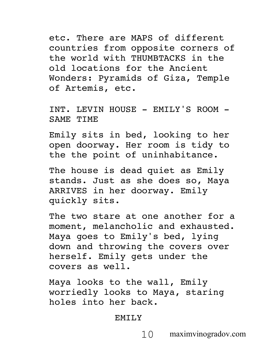etc. There are MAPS of different countries from opposite corners of the world with THUMBTACKS in the old locations for the Ancient Wonders: Pyramids of Giza, Temple of Artemis, etc.

INT. LEVIN HOUSE - EMILY'S ROOM - SAME TIME

Emily sits in bed, looking to her open doorway. Her room is tidy to the the point of uninhabitance.

The house is dead quiet as Emily stands. Just as she does so, Maya ARRIVES in her doorway. Emily quickly sits.

The two stare at one another for a moment, melancholic and exhausted. Maya goes to Emily's bed, lying down and throwing the covers over herself. Emily gets under the covers as well.

Maya looks to the wall, Emily worriedly looks to Maya, staring holes into her back.

#### EMTI<sub>.</sub>Y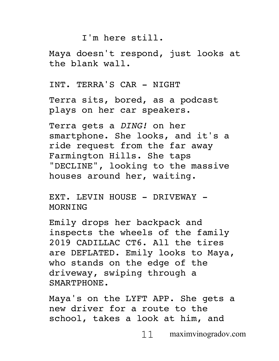### I'm here still.

Maya doesn't respond, just looks at the blank wall.

INT. TERRA'S CAR - NIGHT

Terra sits, bored, as a podcast plays on her car speakers.

Terra gets a *DING!* on her smartphone. She looks, and it's a ride request from the far away Farmington Hills. She taps "DECLINE", looking to the massive houses around her, waiting.

EXT. LEVIN HOUSE - DRIVEWAY -**MORNTNG** 

Emily drops her backpack and inspects the wheels of the family 2019 CADILLAC CT6. All the tires are DEFLATED. Emily looks to Maya, who stands on the edge of the driveway, swiping through a SMARTPHONE.

Maya's on the LYFT APP. She gets a new driver for a route to the school, takes a look at him, and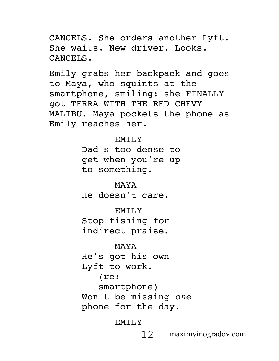CANCELS. She orders another Lyft. She waits. New driver. Looks. CANCELS.

Emily grabs her backpack and goes to Maya, who squints at the smartphone, smiling: she FINALLY got TERRA WITH THE RED CHEVY MALIBU. Maya pockets the phone as Emily reaches her.

> EMILY Dad's too dense to get when you're up to something.

MAYA He doesn't care.

EMILY Stop fishing for indirect praise.

MAYA He's got his own Lyft to work. (re: smartphone) Won't be missing *one*  phone for the day.

EMILY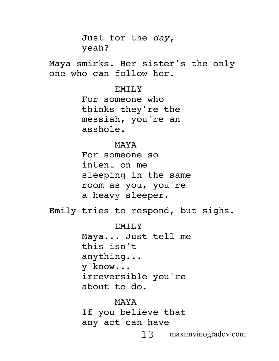13 maximvinogradov.com Just for the *day*, yeah? Maya smirks. Her sister's the only one who can follow her. EMILY For someone who thinks they're the messiah, you're an asshole. MAYA For someone so intent on me sleeping in the same room as you, you're a heavy sleeper. Emily tries to respond, but sighs. **EMILY** Maya... Just tell me this isn't anything... y'know... irreversible you're about to do. MAYA If you believe that any act can have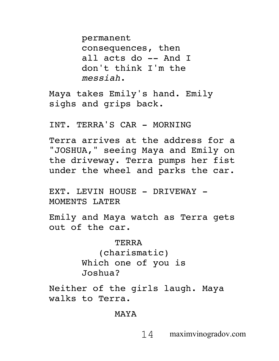permanent consequences, then all acts do -- And I don't think I'm the *messiah*.

Maya takes Emily's hand. Emily sighs and grips back.

INT. TERRA'S CAR - MORNING

Terra arrives at the address for a "JOSHUA," seeing Maya and Emily on the driveway. Terra pumps her fist under the wheel and parks the car.

EXT. LEVIN HOUSE - DRIVEWAY -MOMENTS LATER

Emily and Maya watch as Terra gets out of the car.

> TERRA (charismatic) Which one of you is Joshua?

Neither of the girls laugh. Maya walks to Terra.

MAYA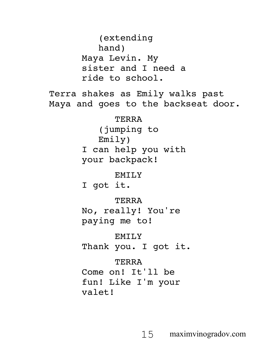(extending hand) Maya Levin. My sister and I need a ride to school. Terra shakes as Emily walks past Maya and goes to the backseat door. TERRA (jumping to Emily) I can help you with your backpack! EMILY I got it. TERRA No, really! You're paying me to! EMTI<sub>.</sub>Y Thank you. I got it. TERRA Come on! It'll be fun! Like I'm your valet!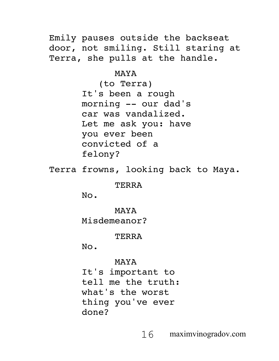Emily pauses outside the backseat door, not smiling. Still staring at Terra, she pulls at the handle.

MAYA

(to Terra) It's been a rough morning -- our dad's car was vandalized. Let me ask you: have you ever been convicted of a felony?

Terra frowns, looking back to Maya.

#### TERRA

No.

MAYA

Misdemeanor?

TERRA

No.

MAYA

It's important to tell me the truth: what's the worst thing you've ever done?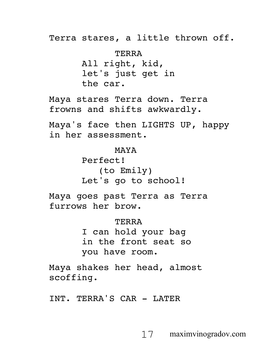Terra stares, a little thrown off.

TERRA All right, kid, let's just get in the car.

Maya stares Terra down. Terra frowns and shifts awkwardly.

Maya's face then LIGHTS UP, happy in her assessment.

> MAYA Perfect! (to Emily) Let's go to school!

Maya goes past Terra as Terra furrows her brow.

> TERRA I can hold your bag in the front seat so you have room.

Maya shakes her head, almost scoffing.

INT. TERRA'S CAR - LATER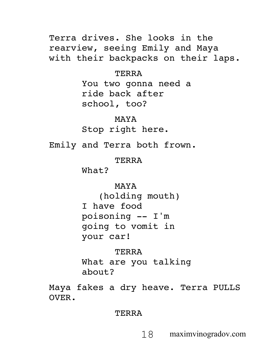Terra drives. She looks in the rearview, seeing Emily and Maya with their backpacks on their laps.

> TERRA You two gonna need a ride back after school, too?

MAYA Stop right here.

Emily and Terra both frown.

TERRA

What?

MAYA

(holding mouth) I have food poisoning -- I'm going to vomit in your car!

TERRA What are you talking about?

Maya fakes a dry heave. Terra PULLS OVER.

TERRA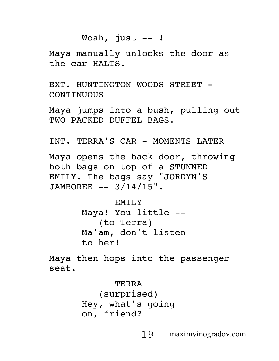# Woah, just  $--$  !

Maya manually unlocks the door as the car HALTS.

EXT. HUNTINGTON WOODS STREET -**CONTINUOUS** 

Maya jumps into a bush, pulling out TWO PACKED DUFFEL BAGS.

INT. TERRA'S CAR - MOMENTS LATER

Maya opens the back door, throwing both bags on top of a STUNNED EMILY. The bags say "JORDYN'S JAMBOREE -- 3/14/15".

> EMILY Maya! You little -- (to Terra) Ma'am, don't listen to her!

Maya then hops into the passenger seat.

> TERRA (surprised) Hey, what's going on, friend?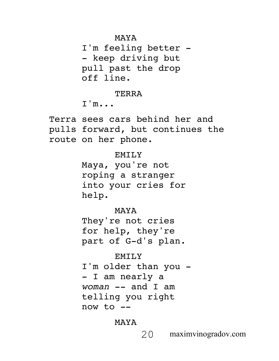MAYA

I'm feeling better - - keep driving but pull past the drop off line.

**TERRA** 

 $T$ 'm...

Terra sees cars behind her and pulls forward, but continues the route on her phone.

## EMILY

Maya, you're not roping a stranger into your cries for help.

MAYA

They're not cries for help, they're part of G-d's plan.

## **EMILY**

I'm older than you - - I am nearly a *woman* -- and I am telling you right now to --

## MAYA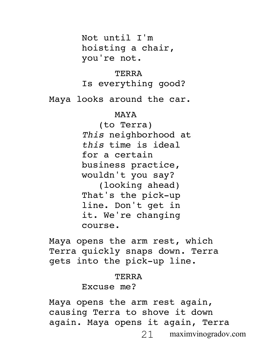Not until I'm hoisting a chair, you're not.

TERRA Is everything good?

Maya looks around the car.

#### MAYA

(to Terra) *This* neighborhood at *this* time is ideal for a certain business practice, wouldn't you say? (looking ahead) That's the pick-up line. Don't get in it. We're changing

course.

Maya opens the arm rest, which Terra quickly snaps down. Terra gets into the pick-up line.

### **TERRA**

## Excuse me?

21 maximvinogradov.com Maya opens the arm rest again, causing Terra to shove it down again. Maya opens it again, Terra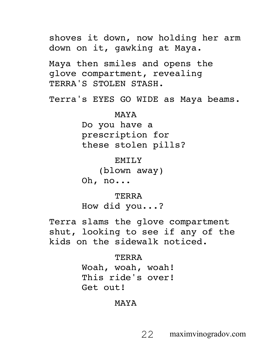shoves it down, now holding her arm down on it, gawking at Maya. Maya then smiles and opens the glove compartment, revealing TERRA'S STOLEN STASH. Terra's EYES GO WIDE as Maya beams. MAYA Do you have a prescription for these stolen pills? EMTI<sub>.</sub>Y (blown away) Oh, no... **TERRA** How did you...? Terra slams the glove compartment shut, looking to see if any of the kids on the sidewalk noticed. TERRA Woah, woah, woah! This ride's over! Get out!

MAYA